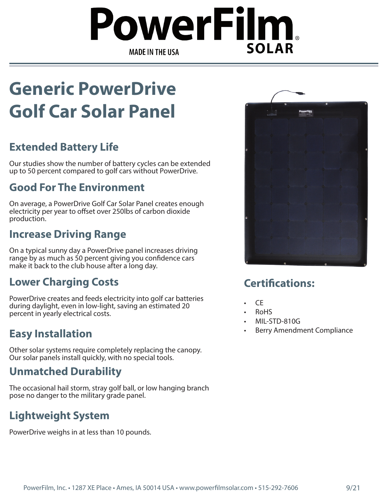# owerFilm, **SOLAR MADE IN THE USA**

# **Generic PowerDrive Golf Car Solar Panel**

### **Extended Battery Life**

Our studies show the number of battery cycles can be extended up to 50 percent compared to golf cars without PowerDrive.

#### **Good For The Environment**

On average, a PowerDrive Golf Car Solar Panel creates enough electricity per year to offset over 250lbs of carbon dioxide production.

#### **Increase Driving Range**

On a typical sunny day a PowerDrive panel increases driving range by as much as 50 percent giving you confidence cars make it back to the club house after a long day.

#### **Lower Charging Costs**

PowerDrive creates and feeds electricity into golf car batteries during daylight, even in low-light, saving an estimated 20 percent in yearly electrical costs.

#### **Easy Installation**

Other solar systems require completely replacing the canopy. Our solar panels install quickly, with no special tools.

#### **Unmatched Durability**

The occasional hail storm, stray golf ball, or low hanging branch pose no danger to the military grade panel.

## **Lightweight System**

PowerDrive weighs in at less than 10 pounds.



#### **Certifications:**

- CE
- RoHS
- MIL-STD-810G
- Berry Amendment Compliance